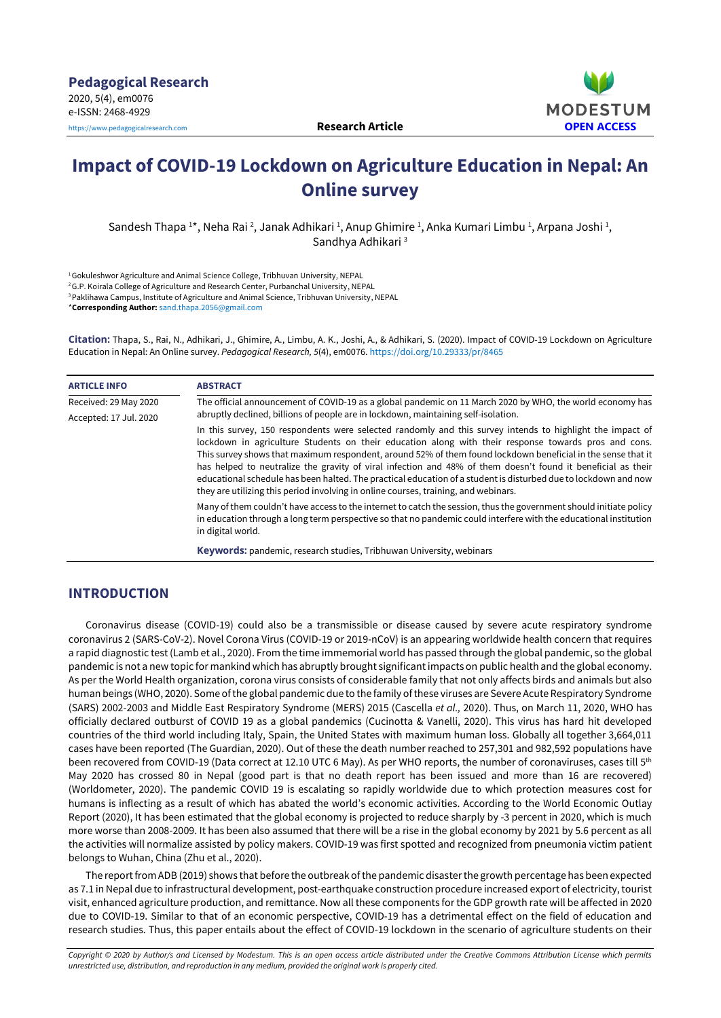

# **Impact of COVID-19 Lockdown on Agriculture Education in Nepal: An Online survey**

Sandesh Thapa <sup>1</sup>\*, Neha Rai <sup>2</sup>, Janak Adhikari <sup>1</sup>, Anup Ghimire <sup>1</sup>, Anka Kumari Limbu <sup>1</sup>, Arpana Joshi <sup>1</sup>, Sandhya Adhikari<sup>3</sup>

<sup>1</sup>Gokuleshwor Agriculture and Animal Science College, Tribhuvan University, NEPAL

<sup>2</sup>G.P. Koirala College of Agriculture and Research Center, Purbanchal University, NEPAL

<sup>3</sup> Paklihawa Campus, Institute of Agriculture and Animal Science, Tribhuvan University, NEPAL

\***Corresponding Author:** [sand.thapa.2056@gmail.com](mailto:sand.thapa.2056@gmail.com)

**Citation:** Thapa, S., Rai, N., Adhikari, J., Ghimire, A., Limbu, A. K., Joshi, A., & Adhikari, S. (2020). Impact of COVID-19 Lockdown on Agriculture Education in Nepal: An Online survey. *Pedagogical Research, 5*(4), em0076. <https://doi.org/10.29333/pr/8465>

| <b>ARTICLE INFO</b>    | <b>ABSTRACT</b>                                                                                                                                                                                                                                                                                                                                                                                                                                                                                                                                                                                                                                             |
|------------------------|-------------------------------------------------------------------------------------------------------------------------------------------------------------------------------------------------------------------------------------------------------------------------------------------------------------------------------------------------------------------------------------------------------------------------------------------------------------------------------------------------------------------------------------------------------------------------------------------------------------------------------------------------------------|
| Received: 29 May 2020  | The official announcement of COVID-19 as a global pandemic on 11 March 2020 by WHO, the world economy has                                                                                                                                                                                                                                                                                                                                                                                                                                                                                                                                                   |
| Accepted: 17 Jul. 2020 | abruptly declined, billions of people are in lockdown, maintaining self-isolation.                                                                                                                                                                                                                                                                                                                                                                                                                                                                                                                                                                          |
|                        | In this survey, 150 respondents were selected randomly and this survey intends to highlight the impact of<br>lockdown in agriculture Students on their education along with their response towards pros and cons.<br>This survey shows that maximum respondent, around 52% of them found lockdown beneficial in the sense that it<br>has helped to neutralize the gravity of viral infection and 48% of them doesn't found it beneficial as their<br>educational schedule has been halted. The practical education of a student is disturbed due to lockdown and now<br>they are utilizing this period involving in online courses, training, and webinars. |
|                        | Many of them couldn't have access to the internet to catch the session, thus the government should initiate policy<br>in education through a long term perspective so that no pandemic could interfere with the educational institution<br>in digital world.                                                                                                                                                                                                                                                                                                                                                                                                |
|                        | Keywords: pandemic, research studies, Tribhuwan University, webinars                                                                                                                                                                                                                                                                                                                                                                                                                                                                                                                                                                                        |

# **INTRODUCTION**

Coronavirus disease (COVID-19) could also be a transmissible or disease caused by severe acute respiratory syndrome coronavirus 2 (SARS-CoV-2). Novel Corona Virus (COVID-19 or 2019-nCoV) is an appearing worldwide health concern that requires a rapid diagnostic test (Lamb et al., 2020). From the time immemorial world has passed through the global pandemic, so the global pandemic is not a new topic for mankind which has abruptly brought significant impacts on public health and the global economy. As per the World Health organization, corona virus consists of considerable family that not only affects birds and animals but also human beings (WHO, 2020). Some of the global pandemic due to the family of these viruses are Severe Acute Respiratory Syndrome (SARS) 2002-2003 and Middle East Respiratory Syndrome (MERS) 2015 (Cascella *et al.,* 2020). Thus, on March 11, 2020, WHO has officially declared outburst of COVID 19 as a global pandemics (Cucinotta & Vanelli, 2020). This virus has hard hit developed countries of the third world including Italy, Spain, the United States with maximum human loss. Globally all together 3,664,011 cases have been reported (The Guardian, 2020). Out of these the death number reached to 257,301 and 982,592 populations have been recovered from COVID-19 (Data correct at 12.10 UTC 6 May). As per WHO reports, the number of coronaviruses, cases till 5<sup>th</sup> May 2020 has crossed 80 in Nepal (good part is that no death report has been issued and more than 16 are recovered) (Worldometer, 2020). The pandemic COVID 19 is escalating so rapidly worldwide due to which protection measures cost for humans is inflecting as a result of which has abated the world's economic activities. According to the World Economic Outlay Report (2020), It has been estimated that the global economy is projected to reduce sharply by -3 percent in 2020, which is much more worse than 2008-2009. It has been also assumed that there will be a rise in the global economy by 2021 by 5.6 percent as all the activities will normalize assisted by policy makers. COVID-19 was first spotted and recognized from pneumonia victim patient belongs to Wuhan, China (Zhu et al., 2020).

The report from ADB (2019) shows that before the outbreak of the pandemic disaster the growth percentage has been expected as 7.1 in Nepal due to infrastructural development, post-earthquake construction procedure increased export of electricity, tourist visit, enhanced agriculture production, and remittance. Now all these components for the GDP growth rate will be affected in 2020 due to COVID-19. Similar to that of an economic perspective, COVID-19 has a detrimental effect on the field of education and research studies. Thus, this paper entails about the effect of COVID-19 lockdown in the scenario of agriculture students on their

Copyright © 2020 by Author/s and Licensed by Modestum. This is an open access article distributed under the Creative Commons Attribution License which permits *unrestricted use, distribution, and reproduction in any medium, provided the original work is properly cited.*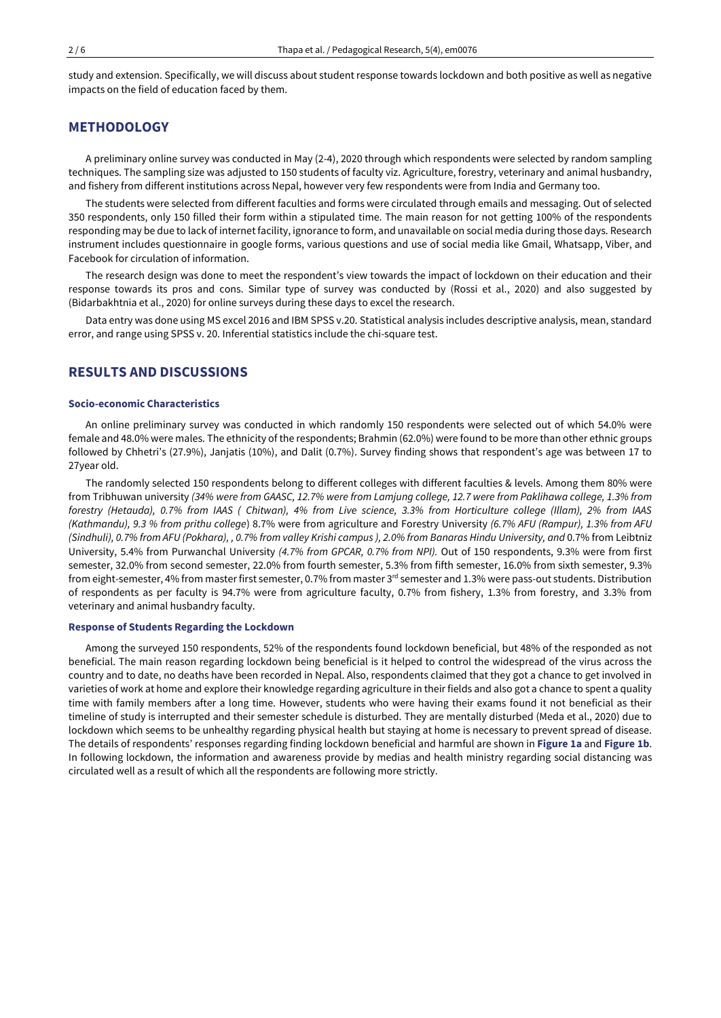study and extension. Specifically, we will discuss about student response towards lockdown and both positive as well as negative impacts on the field of education faced by them.

# **METHODOLOGY**

A preliminary online survey was conducted in May (2-4), 2020 through which respondents were selected by random sampling techniques. The sampling size was adjusted to 150 students of faculty viz. Agriculture, forestry, veterinary and animal husbandry, and fishery from different institutions across Nepal, however very few respondents were from India and Germany too.

The students were selected from different faculties and forms were circulated through emails and messaging. Out of selected 350 respondents, only 150 filled their form within a stipulated time. The main reason for not getting 100% of the respondents responding may be due to lack of internet facility, ignorance to form, and unavailable on social media during those days. Research instrument includes questionnaire in google forms, various questions and use of social media like Gmail, Whatsapp, Viber, and Facebook for circulation of information.

The research design was done to meet the respondent's view towards the impact of lockdown on their education and their response towards its pros and cons. Similar type of survey was conducted by (Rossi et al., 2020) and also suggested by (Bidarbakhtnia et al., 2020) for online surveys during these days to excel the research.

Data entry was done using MS excel 2016 and IBM SPSS v.20. Statistical analysis includes descriptive analysis, mean, standard error, and range using SPSS v. 20. Inferential statistics include the chi-square test.

# **RESULTS AND DISCUSSIONS**

#### **Socio-economic Characteristics**

An online preliminary survey was conducted in which randomly 150 respondents were selected out of which 54.0% were female and 48.0% were males. The ethnicity of the respondents; Brahmin (62.0%) were found to be more than other ethnic groups followed by Chhetri's (27.9%), Janjatis (10%), and Dalit (0.7%). Survey finding shows that respondent's age was between 17 to 27year old.

The randomly selected 150 respondents belong to different colleges with different faculties & levels. Among them 80% were from Tribhuwan university (34% were from GAASC, 12.7% were from Lamjung college, 12.7 were from Paklihawa college, 1.3% from forestry (Hetauda), 0.7% from IAAS ( Chitwan), 4% from Live science, 3.3% from Horticulture college (Illam), 2% from IAAS *(Kathmandu), 9.3 % from prithu college*) 8.7% were from agriculture and Forestry University *(6.7% AFU (Rampur), 1.3% from AFU* (Sindhuli), 0.7% from AFU (Pokhara), , 0.7% from valley Krishi campus), 2.0% from Banaras Hindu University, and 0.7% from Leibtniz University, 5.4% from Purwanchal University *(4.7% from GPCAR, 0.7% from NPI).* Out of 150 respondents, 9.3% were from first semester, 32.0% from second semester, 22.0% from fourth semester, 5.3% from fifth semester, 16.0% from sixth semester, 9.3% from eight-semester, 4% from master first semester, 0.7% from master 3<sup>rd</sup> semester and 1.3% were pass-out students. Distribution of respondents as per faculty is 94.7% were from agriculture faculty, 0.7% from fishery, 1.3% from forestry, and 3.3% from veterinary and animal husbandry faculty.

#### **Response of Students Regarding the Lockdown**

Among the surveyed 150 respondents, 52% of the respondents found lockdown beneficial, but 48% of the responded as not beneficial. The main reason regarding lockdown being beneficial is it helped to control the widespread of the virus across the country and to date, no deaths have been recorded in Nepal. Also, respondents claimed that they got a chance to get involved in varieties of work at home and explore their knowledge regarding agriculture in their fields and also got a chance to spent a quality time with family members after a long time. However, students who were having their exams found it not beneficial as their timeline of study is interrupted and their semester schedule is disturbed. They are mentally disturbed (Meda et al., 2020) due to lockdown which seems to be unhealthy regarding physical health but staying at home is necessary to prevent spread of disease. The details of respondents' responses regarding finding lockdown beneficial and harmful are shown in **Figure 1a** and **Figure 1b**. In following lockdown, the information and awareness provide by medias and health ministry regarding social distancing was circulated well as a result of which all the respondents are following more strictly.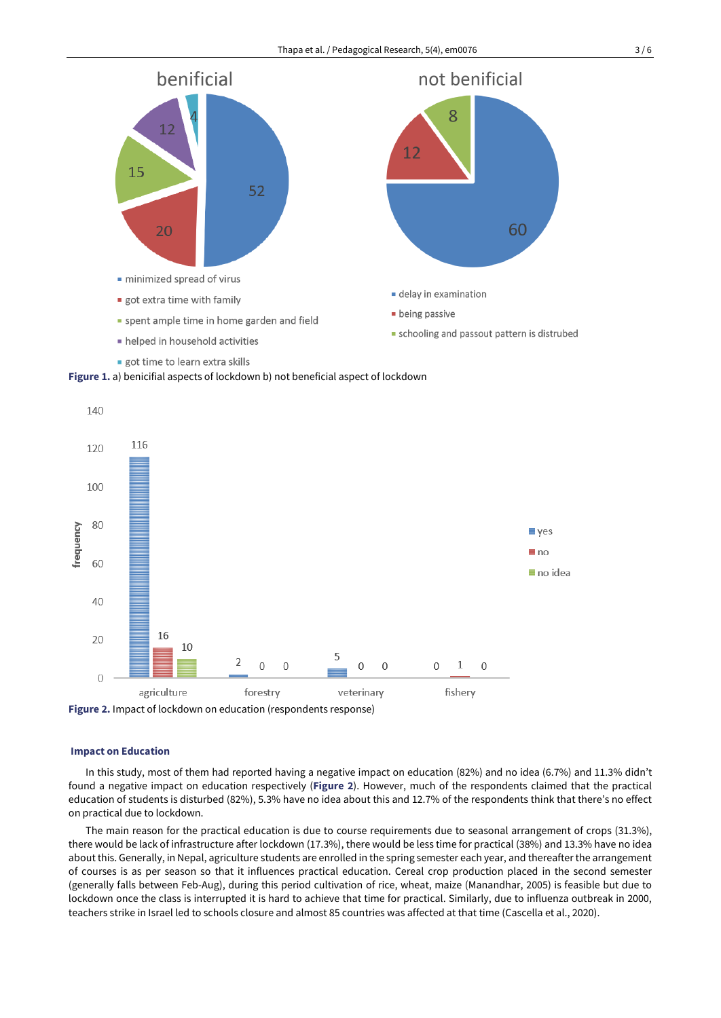





## **Impact on Education**

In this study, most of them had reported having a negative impact on education (82%) and no idea (6.7%) and 11.3% didn't found a negative impact on education respectively (**Figure 2**). However, much of the respondents claimed that the practical education of students is disturbed (82%), 5.3% have no idea about this and 12.7% of the respondents think that there's no effect on practical due to lockdown.

The main reason for the practical education is due to course requirements due to seasonal arrangement of crops (31.3%), there would be lack of infrastructure after lockdown (17.3%), there would be less time for practical (38%) and 13.3% have no idea about this. Generally, in Nepal, agriculture students are enrolled in the spring semester each year, and thereafterthe arrangement of courses is as per season so that it influences practical education. Cereal crop production placed in the second semester (generally falls between Feb-Aug), during this period cultivation of rice, wheat, maize (Manandhar, 2005) is feasible but due to lockdown once the class is interrupted it is hard to achieve that time for practical. Similarly, due to influenza outbreak in 2000, teachers strike in Israel led to schools closure and almost 85 countries was affected at that time (Cascella et al., 2020).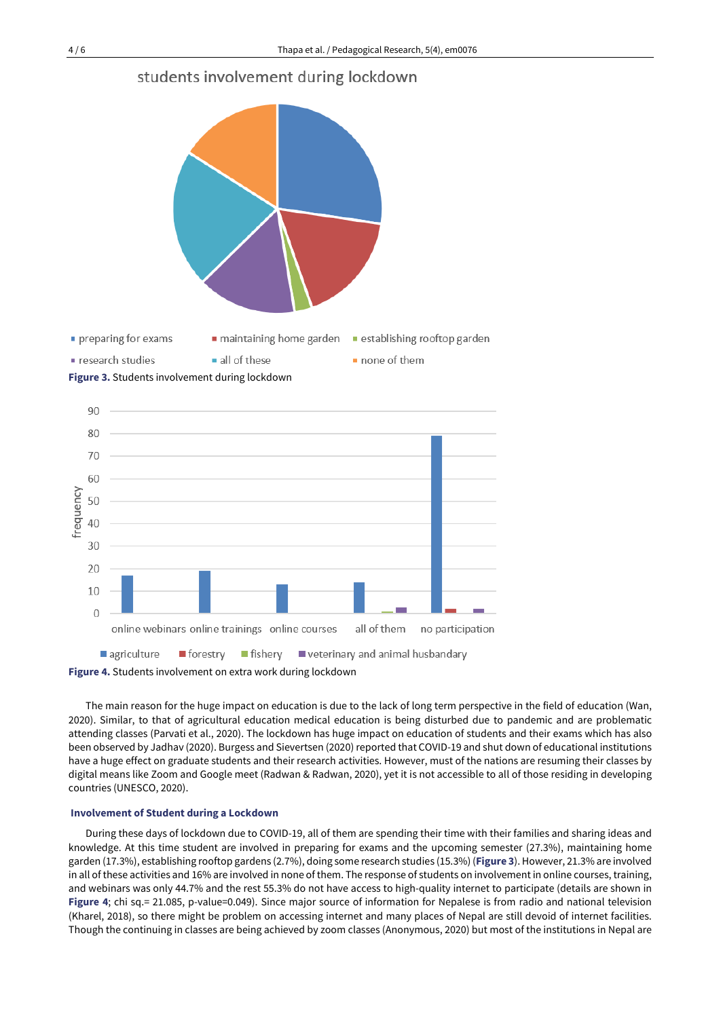





The main reason for the huge impact on education is due to the lack of long term perspective in the field of education (Wan, 2020). Similar, to that of agricultural education medical education is being disturbed due to pandemic and are problematic attending classes (Parvati et al., 2020). The lockdown has huge impact on education of students and their exams which has also been observed by Jadhav (2020). Burgess and Sievertsen (2020) reported that COVID-19 and shut down of educational institutions have a huge effect on graduate students and their research activities. However, must of the nations are resuming their classes by digital means like Zoom and Google meet (Radwan & Radwan, 2020), yet it is not accessible to all of those residing in developing countries (UNESCO, 2020).

### **Involvement of Student during a Lockdown**

During these days of lockdown due to COVID-19, all of them are spending their time with their families and sharing ideas and knowledge. At this time student are involved in preparing for exams and the upcoming semester (27.3%), maintaining home garden (17.3%), establishing rooftop gardens (2.7%), doing some research studies (15.3%) (**Figure 3**). However, 21.3% are involved in all of these activities and 16% are involved in none of them. The response of students on involvement in online courses, training, and webinars was only 44.7% and the rest 55.3% do not have access to high-quality internet to participate (details are shown in **Figure 4**; chi sq.= 21.085, p-value=0.049). Since major source of information for Nepalese is from radio and national television (Kharel, 2018), so there might be problem on accessing internet and many places of Nepal are still devoid of internet facilities. Though the continuing in classes are being achieved by zoom classes (Anonymous, 2020) but most of the institutions in Nepal are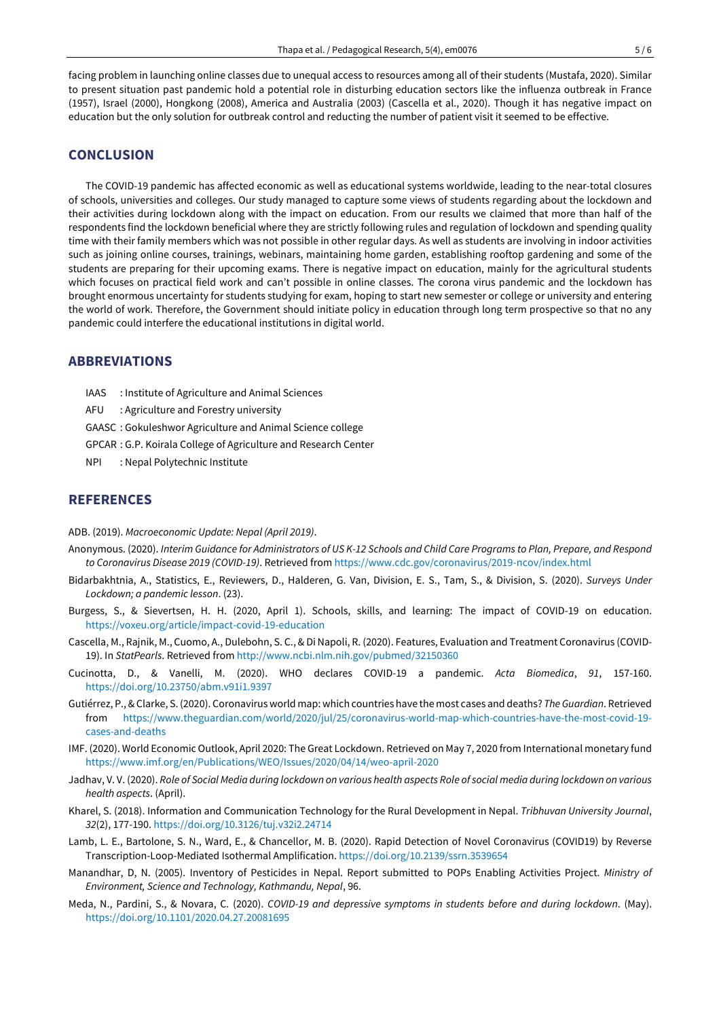facing problem in launching online classes due to unequal access to resources among all of their students (Mustafa, 2020). Similar to present situation past pandemic hold a potential role in disturbing education sectors like the influenza outbreak in France (1957), Israel (2000), Hongkong (2008), America and Australia (2003) (Cascella et al., 2020). Though it has negative impact on education but the only solution for outbreak control and reducting the number of patient visit it seemed to be effective.

## **CONCLUSION**

The COVID-19 pandemic has affected economic as well as educational systems worldwide, leading to the near-total closures of schools, universities and colleges. Our study managed to capture some views of students regarding about the lockdown and their activities during lockdown along with the impact on education. From our results we claimed that more than half of the respondents find the lockdown beneficial where they are strictly following rules and regulation of lockdown and spending quality time with their family members which was not possible in other regular days. As well as students are involving in indoor activities such as joining online courses, trainings, webinars, maintaining home garden, establishing rooftop gardening and some of the students are preparing for their upcoming exams. There is negative impact on education, mainly for the agricultural students which focuses on practical field work and can't possible in online classes. The corona virus pandemic and the lockdown has brought enormous uncertainty for students studying for exam, hoping to start new semester or college or university and entering the world of work. Therefore, the Government should initiate policy in education through long term prospective so that no any pandemic could interfere the educational institutions in digital world.

## **ABBREVIATIONS**

- IAAS : Institute of Agriculture and Animal Sciences
- AFU : Agriculture and Forestry university
- GAASC : Gokuleshwor Agriculture and Animal Science college
- GPCAR : G.P. Koirala College of Agriculture and Research Center
- NPI : Nepal Polytechnic Institute

# **REFERENCES**

#### ADB. (2019). *Macroeconomic Update: Nepal (April 2019)*.

- Anonymous. (2020). Interim Guidance for Administrators of US K-12 Schools and Child Care Programs to Plan, Prepare, and Respond *to Coronavirus Disease 2019 (COVID-19)*. Retrieved from <https://www.cdc.gov/coronavirus/2019-ncov/index.html>
- Bidarbakhtnia, A., Statistics, E., Reviewers, D., Halderen, G. Van, Division, E. S., Tam, S., & Division, S. (2020). *Surveys Under Lockdown; a pandemic lesson*. (23).
- Burgess, S., & Sievertsen, H. H. (2020, April 1). Schools, skills, and learning: The impact of COVID-19 on education. <https://voxeu.org/article/impact-covid-19-education>
- Cascella, M., Rajnik, M., Cuomo, A., Dulebohn, S. C., & DiNapoli, R. (2020). Features, Evaluation and Treatment Coronavirus (COVID-19). In *StatPearls*. Retrieved from <http://www.ncbi.nlm.nih.gov/pubmed/32150360>
- Cucinotta, D., & Vanelli, M. (2020). WHO declares COVID-19 a pandemic. *Acta Biomedica*, *91*, 157-160. <https://doi.org/10.23750/abm.v91i1.9397>
- Gutiérrez, P.,&Clarke, S.(2020). Coronavirus world map: which countries have the most cases and deaths? *TheGuardian*. Retrieved from [https://www.theguardian.com/world/2020/jul/25/coronavirus-world-map-which-countries-have-the-most-covid-19](https://www.theguardian.com/world/2020/jul/25/coronavirus-world-map-which-countries-have-the-most-covid-19-cases-and-deaths) [cases-and-deaths](https://www.theguardian.com/world/2020/jul/25/coronavirus-world-map-which-countries-have-the-most-covid-19-cases-and-deaths)
- IMF. (2020). World Economic Outlook, April 2020: The Great Lockdown. Retrieved on May 7, 2020 from International monetary fund <https://www.imf.org/en/Publications/WEO/Issues/2020/04/14/weo-april-2020>
- Jadhav, V. V. (2020). Role of Social Media during lockdown on various health aspects Role of social media during lockdown on various *health aspects*. (April).
- Kharel, S. (2018). Information and Communication Technology for the Rural Development in Nepal. *Tribhuvan University Journal*, *32*(2), 177-190. <https://doi.org/10.3126/tuj.v32i2.24714>
- Lamb, L. E., Bartolone, S. N., Ward, E., & Chancellor, M. B. (2020). Rapid Detection of Novel Coronavirus (COVID19) by Reverse Transcription-Loop-Mediated Isothermal Amplification. <https://doi.org/10.2139/ssrn.3539654>
- Manandhar, D, N. (2005). Inventory of Pesticides in Nepal. Report submitted to POPs Enabling Activities Project. *Ministry of Environment, Science and Technology, Kathmandu, Nepal*, 96.
- Meda, N., Pardini, S., & Novara, C. (2020). *COVID-19 and depressive symptoms in students before and during lockdown*. (May). <https://doi.org/10.1101/2020.04.27.20081695>